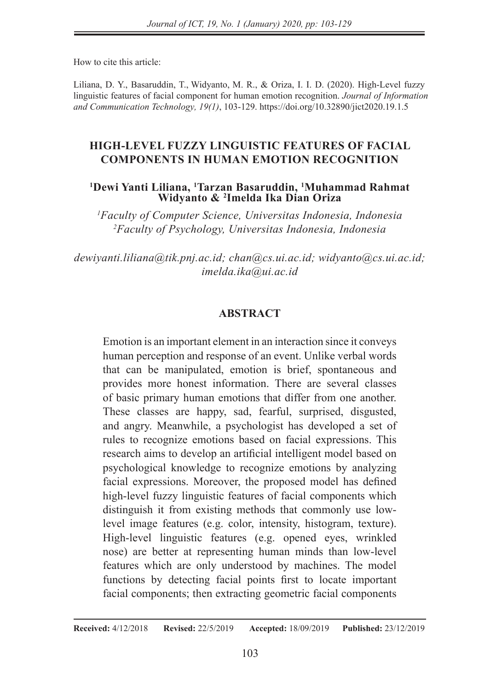How to cite this article:

Liliana, D. Y., Basaruddin, T., Widyanto, M. R., & Oriza, I. I. D. (2020). High-Level fuzzy linguistic features of facial component for human emotion recognition. *Journal of Information and Communication Technology, 19(1)*, 103-129. https://doi.org/10.32890/jict2020.19.1.5

### **HIGH-LEVEL FUZZY LINGUISTIC FEATURES OF FACIAL COMPONENTS IN HUMAN EMOTION RECOGNITION**

#### **<sup>1</sup>Dewi Yanti Liliana, <sup>1</sup>Tarzan Basaruddin, <sup>1</sup>Muhammad Rahmat Widyanto & <sup>2</sup> Imelda Ika Dian Oriza**

*<sup>1</sup>Faculty of Computer Science, Universitas Indonesia, Indonesia <sup>2</sup>Faculty of Psychology, Universitas Indonesia, Indonesia*

*dewiyanti.liliana@tik.pnj.ac.id; chan@cs.ui.ac.id; widyanto@cs.ui.ac.id; imelda.ika@ui.ac.id* 

### **ABSTRACT**

Emotion is an important element in an interaction since it conveys human perception and response of an event. Unlike verbal words that can be manipulated, emotion is brief, spontaneous and provides more honest information. There are several classes of basic primary human emotions that differ from one another. These classes are happy, sad, fearful, surprised, disgusted, and angry. Meanwhile, a psychologist has developed a set of rules to recognize emotions based on facial expressions. This research aims to develop an artificial intelligent model based on psychological knowledge to recognize emotions by analyzing facial expressions. Moreover, the proposed model has defined high-level fuzzy linguistic features of facial components which distinguish it from existing methods that commonly use lowlevel image features (e.g. color, intensity, histogram, texture). High-level linguistic features (e.g. opened eyes, wrinkled nose) are better at representing human minds than low-level features which are only understood by machines. The model functions by detecting facial points first to locate important facial components; then extracting geometric facial components

**Received:** 4/12/2018 **Revised:** 22/5/2019 **Accepted:** 18/09/2019 **Published:** 23/12/2019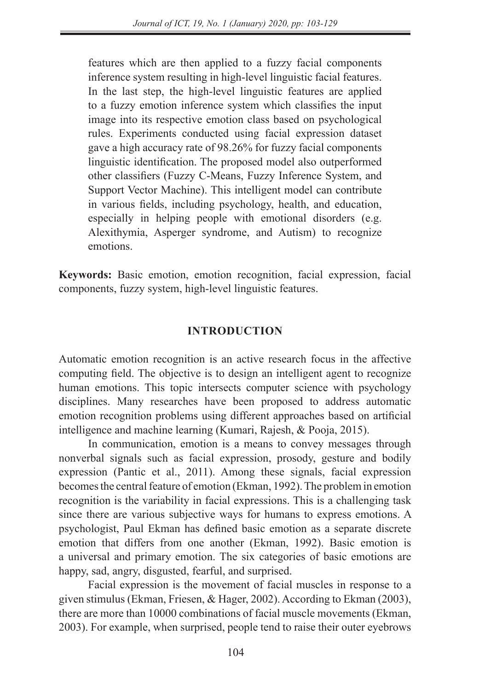features which are then applied to a fuzzy facial components inference system resulting in high-level linguistic facial features. In the last step, the high-level linguistic features are applied to a fuzzy emotion inference system which classifies the input image into its respective emotion class based on psychological rules. Experiments conducted using facial expression dataset gave a high accuracy rate of 98.26% for fuzzy facial components linguistic identification. The proposed model also outperformed other classifiers (Fuzzy C-Means, Fuzzy Inference System, and Support Vector Machine). This intelligent model can contribute in various fields, including psychology, health, and education, especially in helping people with emotional disorders (e.g. Alexithymia, Asperger syndrome, and Autism) to recognize emotions.

**Keywords:** Basic emotion, emotion recognition, facial expression, facial components, fuzzy system, high-level linguistic features.

### **INTRODUCTION**

Automatic emotion recognition is an active research focus in the affective computing field. The objective is to design an intelligent agent to recognize human emotions. This topic intersects computer science with psychology disciplines. Many researches have been proposed to address automatic emotion recognition problems using different approaches based on artificial intelligence and machine learning (Kumari, Rajesh, & Pooja, 2015).

In communication, emotion is a means to convey messages through nonverbal signals such as facial expression, prosody, gesture and bodily expression (Pantic et al., 2011). Among these signals, facial expression becomes the central feature of emotion (Ekman, 1992). The problem in emotion recognition is the variability in facial expressions. This is a challenging task since there are various subjective ways for humans to express emotions. A psychologist, Paul Ekman has defined basic emotion as a separate discrete emotion that differs from one another (Ekman, 1992). Basic emotion is a universal and primary emotion. The six categories of basic emotions are happy, sad, angry, disgusted, fearful, and surprised.

Facial expression is the movement of facial muscles in response to a given stimulus (Ekman, Friesen, & Hager, 2002). According to Ekman (2003), there are more than 10000 combinations of facial muscle movements (Ekman, 2003). For example, when surprised, people tend to raise their outer eyebrows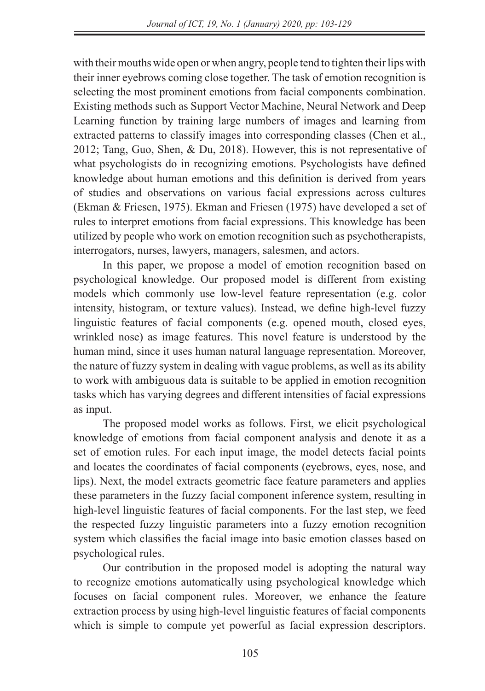with their mouths wide open or when angry, people tend to tighten their lips with their inner eyebrows coming close together. The task of emotion recognition is selecting the most prominent emotions from facial components combination. Existing methods such as Support Vector Machine, Neural Network and Deep Learning function by training large numbers of images and learning from extracted patterns to classify images into corresponding classes (Chen et al., 2012; Tang, Guo, Shen, & Du, 2018). However, this is not representative of what psychologists do in recognizing emotions. Psychologists have defined knowledge about human emotions and this definition is derived from years of studies and observations on various facial expressions across cultures (Ekman & Friesen, 1975). Ekman and Friesen (1975) have developed a set of rules to interpret emotions from facial expressions. This knowledge has been utilized by people who work on emotion recognition such as psychotherapists, interrogators, nurses, lawyers, managers, salesmen, and actors.

In this paper, we propose a model of emotion recognition based on psychological knowledge. Our proposed model is different from existing models which commonly use low-level feature representation (e.g. color intensity, histogram, or texture values). Instead, we define high-level fuzzy linguistic features of facial components (e.g. opened mouth, closed eyes, wrinkled nose) as image features. This novel feature is understood by the human mind, since it uses human natural language representation. Moreover, the nature of fuzzy system in dealing with vague problems, as well as its ability to work with ambiguous data is suitable to be applied in emotion recognition tasks which has varying degrees and different intensities of facial expressions as input.

The proposed model works as follows. First, we elicit psychological knowledge of emotions from facial component analysis and denote it as a set of emotion rules. For each input image, the model detects facial points and locates the coordinates of facial components (eyebrows, eyes, nose, and lips). Next, the model extracts geometric face feature parameters and applies these parameters in the fuzzy facial component inference system, resulting in high-level linguistic features of facial components. For the last step, we feed the respected fuzzy linguistic parameters into a fuzzy emotion recognition system which classifies the facial image into basic emotion classes based on psychological rules.

Our contribution in the proposed model is adopting the natural way to recognize emotions automatically using psychological knowledge which focuses on facial component rules. Moreover, we enhance the feature extraction process by using high-level linguistic features of facial components which is simple to compute yet powerful as facial expression descriptors.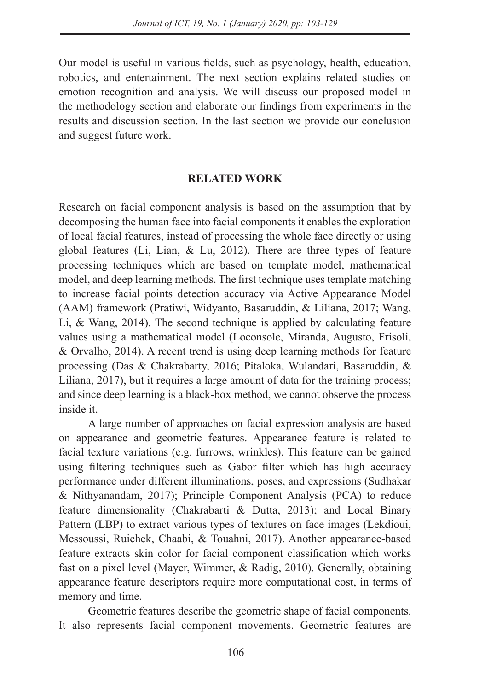Our model is useful in various fields, such as psychology, health, education, robotics, and entertainment. The next section explains related studies on emotion recognition and analysis. We will discuss our proposed model in the methodology section and elaborate our findings from experiments in the results and discussion section. In the last section we provide our conclusion and suggest future work.

### **RELATED WORK**

Research on facial component analysis is based on the assumption that by decomposing the human face into facial components it enables the exploration of local facial features, instead of processing the whole face directly or using global features (Li, Lian, & Lu, 2012). There are three types of feature processing techniques which are based on template model, mathematical model, and deep learning methods. The first technique uses template matching to increase facial points detection accuracy via Active Appearance Model (AAM) framework (Pratiwi, Widyanto, Basaruddin, & Liliana, 2017; Wang, Li, & Wang, 2014). The second technique is applied by calculating feature values using a mathematical model (Loconsole, Miranda, Augusto, Frisoli, & Orvalho, 2014). A recent trend is using deep learning methods for feature processing (Das & Chakrabarty, 2016; Pitaloka, Wulandari, Basaruddin, & Liliana, 2017), but it requires a large amount of data for the training process; and since deep learning is a black-box method, we cannot observe the process inside it.

A large number of approaches on facial expression analysis are based on appearance and geometric features. Appearance feature is related to facial texture variations (e.g. furrows, wrinkles). This feature can be gained using filtering techniques such as Gabor filter which has high accuracy performance under different illuminations, poses, and expressions (Sudhakar & Nithyanandam, 2017); Principle Component Analysis (PCA) to reduce feature dimensionality (Chakrabarti & Dutta, 2013); and Local Binary Pattern (LBP) to extract various types of textures on face images (Lekdioui, Messoussi, Ruichek, Chaabi, & Touahni, 2017). Another appearance-based feature extracts skin color for facial component classification which works fast on a pixel level (Mayer, Wimmer, & Radig, 2010). Generally, obtaining appearance feature descriptors require more computational cost, in terms of memory and time.

Geometric features describe the geometric shape of facial components. It also represents facial component movements. Geometric features are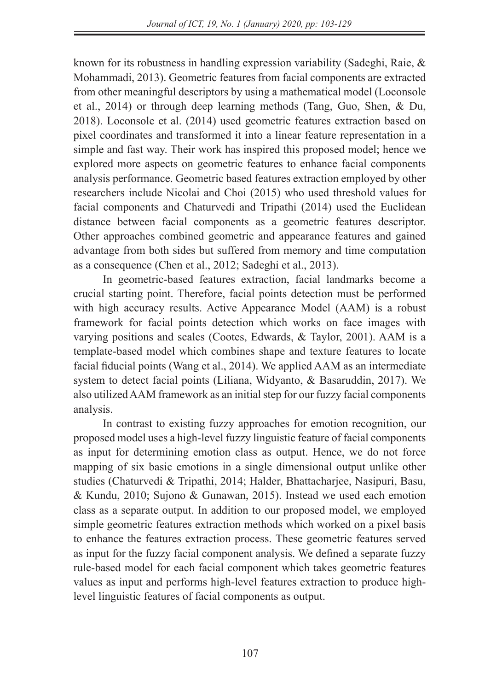known for its robustness in handling expression variability (Sadeghi, Raie, & Mohammadi, 2013). Geometric features from facial components are extracted from other meaningful descriptors by using a mathematical model (Loconsole et al., 2014) or through deep learning methods (Tang, Guo, Shen, & Du, 2018). Loconsole et al. (2014) used geometric features extraction based on pixel coordinates and transformed it into a linear feature representation in a simple and fast way. Their work has inspired this proposed model; hence we explored more aspects on geometric features to enhance facial components analysis performance. Geometric based features extraction employed by other researchers include Nicolai and Choi (2015) who used threshold values for facial components and Chaturvedi and Tripathi (2014) used the Euclidean distance between facial components as a geometric features descriptor. Other approaches combined geometric and appearance features and gained advantage from both sides but suffered from memory and time computation as a consequence (Chen et al., 2012; Sadeghi et al., 2013).

In geometric-based features extraction, facial landmarks become a crucial starting point. Therefore, facial points detection must be performed with high accuracy results. Active Appearance Model (AAM) is a robust framework for facial points detection which works on face images with varying positions and scales (Cootes, Edwards, & Taylor, 2001). AAM is a template-based model which combines shape and texture features to locate facial fiducial points (Wang et al., 2014). We applied AAM as an intermediate system to detect facial points (Liliana, Widyanto, & Basaruddin, 2017). We also utilized AAM framework as an initial step for our fuzzy facial components analysis.

In contrast to existing fuzzy approaches for emotion recognition, our proposed model uses a high-level fuzzy linguistic feature of facial components as input for determining emotion class as output. Hence, we do not force mapping of six basic emotions in a single dimensional output unlike other studies (Chaturvedi & Tripathi, 2014; Halder, Bhattacharjee, Nasipuri, Basu, & Kundu, 2010; Sujono & Gunawan, 2015). Instead we used each emotion class as a separate output. In addition to our proposed model, we employed simple geometric features extraction methods which worked on a pixel basis to enhance the features extraction process. These geometric features served as input for the fuzzy facial component analysis. We defined a separate fuzzy rule-based model for each facial component which takes geometric features values as input and performs high-level features extraction to produce highlevel linguistic features of facial components as output.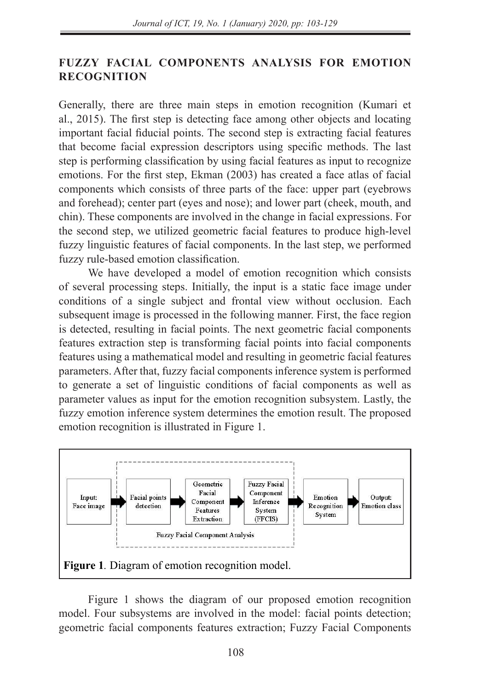#### **FUZZY FACIAL COMPONENTS ANALYSIS FOR EMOTION RECOGNITION**  $\mathbf{b}$  basis to enhance the features served as input for the features served as input for the theorem as input for the theorem as in

Generally, there are three main steps in emotion recognition (Kumari et al., 2015). The first step is detecting face among other objects and locating important facial fiducial points. The second step is extracting facial features that become facial expression descriptors using specific methods. The last step is performing classification by using facial features as input to recognize emotions. For the first step, Ekman (2003) has created a face atlas of facial components which consists of three parts of the face: upper part (eyebrows and forehead); center part (eyes and nose); and lower part (cheek, mouth, and chin). These components are involved in the change in facial expressions. For the second step, we utilized geometric facial features to produce high-level the second step, we utilized geometric facial features to produce high-level<br>fuzzy linguistic features of facial components. In the last step, we performed fuzzy rule-based emotion classification.

We have developed a model of emotion recognition which consists of several processing steps. Initially, the input is a static face image under conditions of a single subject and frontal view without occlusion. Each subsequent image is processed in the following manner. First, the face region is detected, resulting in facial points. The next geometric facial components features extraction step is transforming facial points into facial components features using a mathematical model and resulting in geometric facial features parameters. After that, fuzzy facial components inference system is performed to generate a set of linguistic conditions of facial components as well as parameter values as input for the emotion recognition subsystem. Lastly, the fuzzy emotion inference system determines the emotion result. The proposed emotion recognition is illustrated in Figure 1.



Figure 1 shows the diagram of our proposed emotion recognition model. Four subsystems are involved in the model: facial points detection; geometric facial components features extraction; Fuzzy Facial Components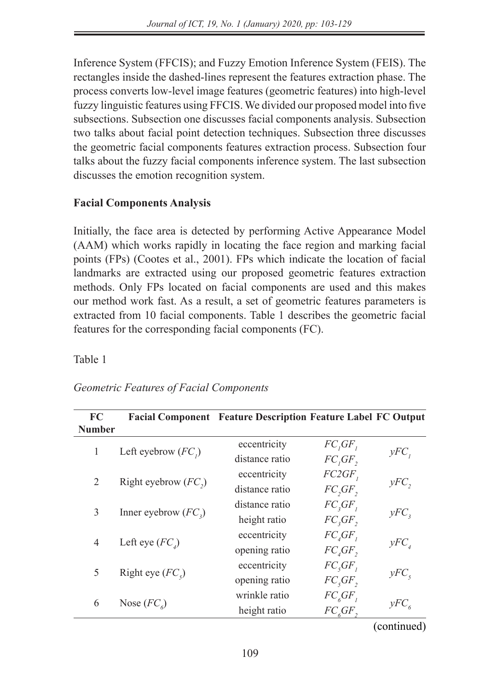Inference System (FFCIS); and Fuzzy Emotion Inference System (FEIS). The rectangles inside the dashed-lines represent the features extraction phase. The process converts low-level image features (geometric features) into high-level fuzzy linguistic features using FFCIS. We divided our proposed model into five subsections. Subsection one discusses facial components analysis. Subsection two talks about facial point detection techniques. Subsection three discusses the geometric facial components features extraction process. Subsection four talks about the fuzzy facial components inference system. The last subsection discusses the emotion recognition system.

### **Facial Components Analysis**

Initially, the face area is detected by performing Active Appearance Model (AAM) which works rapidly in locating the face region and marking facial points (FPs) (Cootes et al., 2001). FPs which indicate the location of facial landmarks are extracted using our proposed geometric features extraction methods. Only FPs located on facial components are used and this makes our method work fast. As a result, a set of geometric features parameters is extracted from 10 facial components. Table 1 describes the geometric facial features for the corresponding facial components (FC).

Table 1

| FC             |                        | <b>Facial Component Feature Description Feature Label FC Output</b> |                              |                |
|----------------|------------------------|---------------------------------------------------------------------|------------------------------|----------------|
| <b>Number</b>  |                        |                                                                     |                              |                |
| 1              | Left eyebrow $(FC_i)$  | eccentricity                                                        | FC, GF                       |                |
|                |                        | distance ratio                                                      | FC, GF,                      | yFC            |
| 2              |                        | eccentricity                                                        | FC2GF,                       |                |
|                | Right eyebrow $(FC_2)$ | distance ratio                                                      | FC, GF,                      | $yFC$ ,        |
| 3              | Inner eyebrow $(FC_2)$ | distance ratio                                                      | FC, GF                       |                |
|                |                        | height ratio                                                        | FC, GF,                      | yFC            |
| $\overline{4}$ | Left eye $(FC)$        | eccentricity                                                        | $FC_{\iota}GF_{\iota}$       |                |
|                |                        | opening ratio                                                       | $FC_{\iota}GF_{\iota}$       | $yFC_{A}$      |
| 5              | Right eye $(FC_s)$     | eccentricity                                                        | $FC_{\S}GF_{\eta}$           |                |
|                |                        | opening ratio                                                       | $FC_{\S}GF_{\S}$             | yFC            |
| 6              |                        | wrinkle ratio                                                       | $FC_{6}GF_{1}$               |                |
|                | Nose $(FC_{\epsilon})$ | height ratio                                                        | $FC_{\epsilon}GF_{\epsilon}$ | $yFC_{\kappa}$ |

## *Geometric Features of Facial Components*

(continued)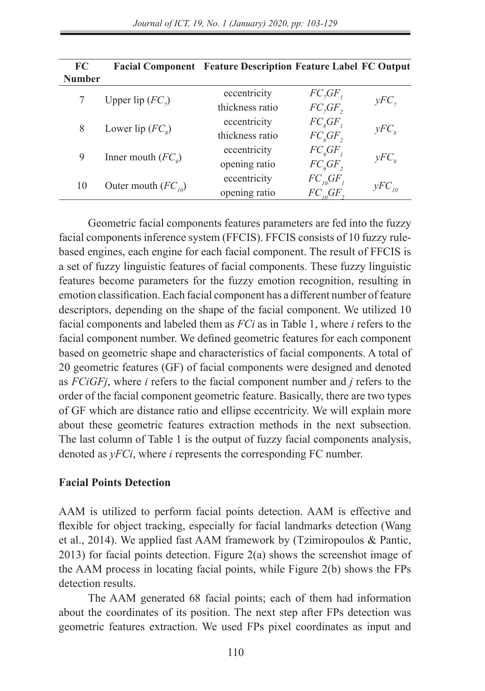| FC<br><b>Number</b> |                          | <b>Facial Component</b> Feature Description Feature Label FC Output |                |                  |
|---------------------|--------------------------|---------------------------------------------------------------------|----------------|------------------|
|                     |                          | eccentricity                                                        | FC, GF         |                  |
|                     | Upper lip $(FC_7)$       | thickness ratio                                                     | FC, GF,        | $yFC_{7}$        |
| 8                   | Lower lip $(FC_{\circ})$ | eccentricity                                                        | $FC_{s}GF_{t}$ |                  |
|                     |                          | thickness ratio                                                     | $FC_sGF,$      | yFC <sub>8</sub> |
| 9                   |                          | eccentricity                                                        | $FC_{o}GF_{p}$ |                  |
|                     | Inner mouth $(FC_0)$     | opening ratio                                                       | $FC_{o}GF,$    | $yFC_{q}$        |
| 10                  |                          | eccentricity                                                        | $FC_{10}GF_1$  |                  |
|                     | Outer mouth $(FC_{10})$  | opening ratio                                                       | $FC_{10}GF$    | $yFC_{10}$       |

Geometric facial components features parameters are fed into the fuzzy facial components inference system (FFCIS). FFCIS consists of 10 fuzzy rulebased engines, each engine for each facial component. The result of FFCIS is a set of fuzzy linguistic features of facial components. These fuzzy linguistic features become parameters for the fuzzy emotion recognition, resulting in emotion classification. Each facial component has a different number of feature descriptors, depending on the shape of the facial component. We utilized 10 facial components and labeled them as *FCi* as in Table 1, where *i* refers to the facial component number. We defined geometric features for each component based on geometric shape and characteristics of facial components. A total of 20 geometric features (GF) of facial components were designed and denoted as *FCiGFj*, where *i* refers to the facial component number and *j* refers to the order of the facial component geometric feature. Basically, there are two types of GF which are distance ratio and ellipse eccentricity. We will explain more about these geometric features extraction methods in the next subsection. The last column of Table 1 is the output of fuzzy facial components analysis, denoted as *yFCi*, where *i* represents the corresponding FC number.

### **Facial Points Detection**

AAM is utilized to perform facial points detection. AAM is effective and flexible for object tracking, especially for facial landmarks detection (Wang et al., 2014). We applied fast AAM framework by (Tzimiropoulos & Pantic, 2013) for facial points detection. Figure 2(a) shows the screenshot image of the AAM process in locating facial points, while Figure 2(b) shows the FPs detection results.

The AAM generated 68 facial points; each of them had information about the coordinates of its position. The next step after FPs detection was geometric features extraction. We used FPs pixel coordinates as input and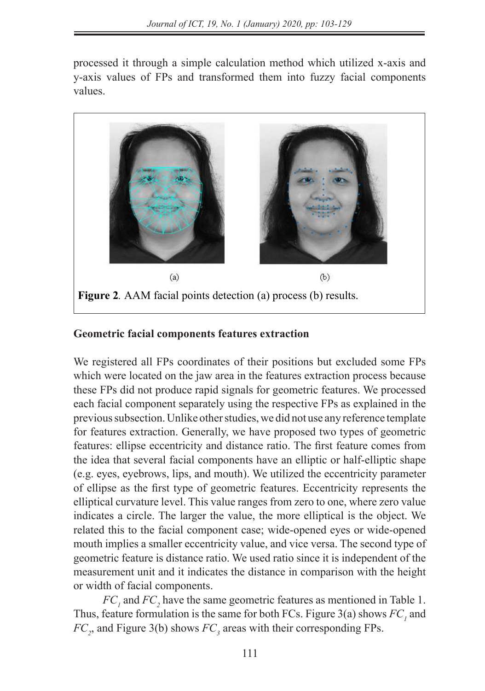processed it through a simple calculation method which utilized x-axis and y-axis values of FPs and transformed them into fuzzy facial components values.



# **Geometric facial components features extraction Geometric facial components features extraction**

We registered all FPs coordinates of their positions but excluded some FPs which were located on the jaw area in the features extraction process because these FPs did not produce rapid signals for geometric features. We processed each facial component separately using the respective FPs as explained in the previous subsection. Unlike other studies, we did not use any reference template for features extraction. Generally, we have proposed two types of geometric features: ellipse eccentricity and distance ratio. The first feature comes from the idea that several facial components have an elliptic or half-elliptic shape (e.g. eyes, eyebrows, lips, and mouth). We utilized the eccentricity parameter of ellipse as the first type of geometric features. Eccentricity represents the elliptical curvature level. This value ranges from zero to one, where zero value indicates a circle. The larger the value, the more elliptical is the object. We related this to the facial component case; wide-opened eyes or wide-opened mouth implies a smaller eccentricity value, and vice versa. The second type of geometric feature is distance ratio. We used ratio since it is independent of the measurement unit and it indicates the distance in comparison with the height or width of facial components.  $e^{(z)}$  erges, eyebrows, lips, and mouth). We utilized the eccentricity parameter

 $FC_1$  and  $FC_2$  have the same geometric features as mentioned in Table 1. Thus, feature formulation is the same for both FCs. Figure  $3(a)$  shows  $FC<sub>1</sub>$  and *FC<sub>2</sub>*, and *Figure 3(b)* shows  $FC_3$  areas with their corresponding FPs. the same for both FCs. Figure 3(a) shows *FC1* and *FC2*, and Figure 3(b) shows *FC3* areas with their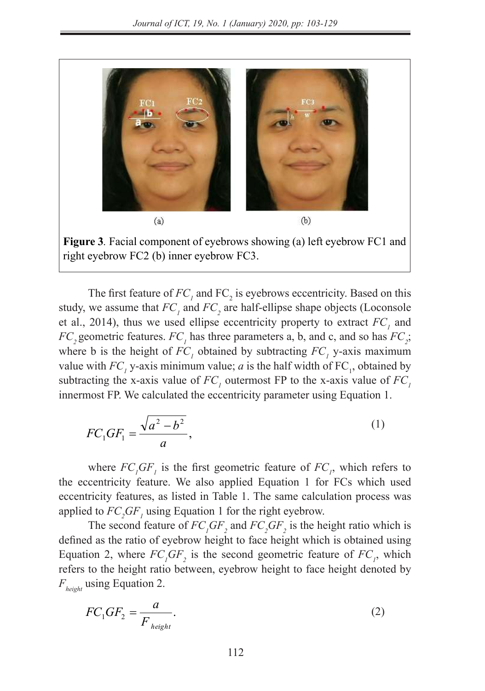

**Figure 3.** Facial component of eyebrows showing (a) left eyebrow FC1 and right eyebrow FC2 (b) inner eyebrow FC3. (b) inner eyebrow *FC3.*

The first feature of *FC1* and FC<sup>2</sup> is eyebrows eccentricity. Based on this study, we assume that *FC1*

The first feature of  $FC<sub>1</sub>$  and  $FC<sub>2</sub>$  is eyebrows eccentricity. Based on this study, we assume that  $FC<sub>1</sub>$  and  $FC<sub>2</sub>$  are half-ellipse shape objects (Loconsole et al., 2014), thus we used ellipse eccentricity property to extract  $FC<sub>1</sub>$  and  $FC_2$  geometric features.  $FC_1$  has three parameters a, b, and c, and so has  $FC_2$ ; where b is the height of  $FC<sub>l</sub>$  obtained by subtracting  $FC<sub>l</sub>$  y-axis maximum value with  $FC<sub>1</sub>$  y-axis minimum value; a is the half width of  $FC<sub>1</sub>$ , obtained by subtracting the x-axis value of  $FC<sub>l</sub>$  outermost FP to the x-axis value of  $FC<sub>l</sub>$ innermost FP. We calculated the eccentricity parameter using Equation 1. The first feature of  $FC<sub>i</sub>$  and  $FC<sub>j</sub>$  is eyebrows eccentricity. Bas study, we assume that  $FC_1$  and  $FC_2$  are nail-ellipse shape objects (1) *FC*<sup>2</sup> geometric features *FC*<sup>1</sup> has three parameters a h and c and so FR TO THE X-axis minimum value, a is the name with  $\Gamma C_1$ , or

$$
FC_1GF_1 = \frac{\sqrt{a^2 - b^2}}{a},
$$
 (1)

where  $FC_{i}GF_{i}$  is the first geometric feature of  $FC_{i}$ , which refers to the eccentricity feature. We also applied Equation 1 for FCs which used eccentricity features, as listed in Table 1. The same calculation process was applied to  $FC_2GF_1$  using Equation 1 for the right eyebrow. where  $FC_1$  or  $F_1$  is the first geometric readule of  $FC_1$ , which  $T_{\text{spin}}$  applies to  $T_{2}$   $T_{1}$  as the Equation 1 for the right vyebrow.

The second feature of  $FC_1GF_2$  and  $FC_2GF_2$  is the height ratio which is defined as the ratio of eyebrow height to face height which is obtained using Equation 2, where  $FC_1GF_2$  is the second geometric feature of  $FC_1$ , which refers to the height ratio between, eyebrow height to face height denoted by *Fheight* using Equation 2. equation (2). Equation 2, where  $FC_1GF_2$  is the second geometric feature of F*l* 

$$
FC_1GF_2 = \frac{a}{F_{height}}.\tag{2}
$$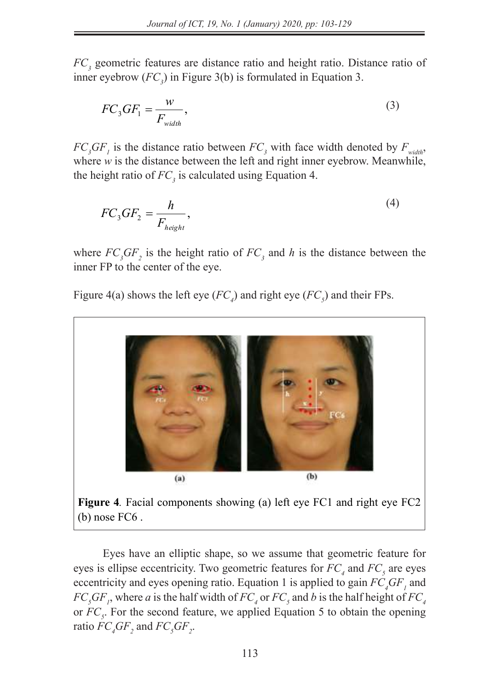*FC<sub>3</sub>* geometric features are distance ratio and height ratio. Distance ratio of inner eyebrow  $(FC_3)$  in Figure 3(b) is formulated in Equation 3. Figure 3(b) in the state in the state in  $\mathcal{L}$ 

$$
FC_3GF_1 = \frac{w}{F_{width}},\tag{3}
$$

 $FC_{3}GF_{1}$  is the distance ratio between  $FC_{3}$  with face width denoted by  $F_{width}$ , where  $w$  is the distance between the left and right inner eyebrow. Meanwhile, the height ratio of  $FC_3$  is calculated using Equation 4.

$$
FC_3GF_2 = \frac{h}{F_{height}},\tag{4}
$$

where  $FC_3GF_2$  is the height ratio of  $FC_3$  and h is the distance between the inner FP to the center of the eye. where  $FC_3$ G $F_2$  is the height ratio of  $FC_3$  and *h* is the distance between the

Figure 4(a) shows the left eye ( $FC_4$ ) and right eye ( $FC_5$ ) and their FPs.  $F = F_0$  and  $F(x)$  shows the left eye ( $F_C = \frac{F_0}{f}$  and  $F_C = \frac{F_0}{f}$  and  $F_C = \frac{F_0}{f}$  and



(b) nose FC6 .

Eyes have an elliptic shape, so we assume that geometric feature for eyes is ellipse eccentricity. Two

Eyes have an elliptic shape, so we assume that geometric feature for eyes is ellipse eccentricity. Two geometric features for  $FC_4$  and  $FC_5$  are eyes eccentricity and eyes opening ratio. Equation 1 is applied to gain  $FC<sub>4</sub>GF<sub>1</sub>$  and  $FC_{5}GF_{1}$ , where a is the half width of  $FC_{4}$  or  $FC_{5}$  and b is the half height of  $FC_{4}$ or  $FC<sub>s</sub>$ . For the second feature, we applied Equation 5 to obtain the opening ratio  $FC_4GF_2$  and  $FC_5GF_2$ .  $F C_4 G F_2$  and  $F_4$ Eyes have an elliptic shape, so we assume that geometric feature for eyes is ellipse eccentricity. Two exes is ellipse eccentricity Two geometric features for  $FC<sub>5</sub>$  and  $FC<sub>5</sub>$  are eyes  $FC_5$ *GF<sub>1</sub>*, where a is the half width of  $FC_4$  of  $FC_5$  and *FC<sub>5</sub>* and *FC<sub>4</sub>*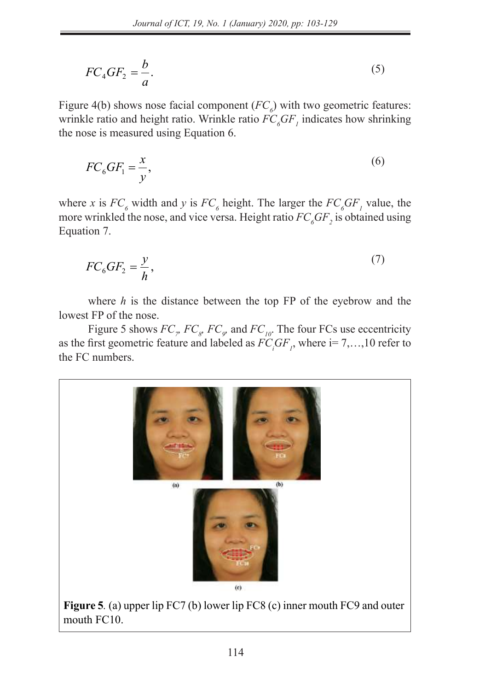*FC5*. For the second feature, we applied Equation (5) to obtain the opening ratio *FC4GF2* and *FC5GF2*.

$$
FC_4GF_2 = \frac{b}{a}.\tag{5}
$$

Figure 4(b) shows nose facial component  $(FC_{\delta})$  with two geometric features: wrinkle ratio and height ratio. Wrinkle ratio  $FC<sub>6</sub>GF<sub>1</sub>$  indicates how shrinking the nose is measured using Equation 6.  $\frac{1}{2}$  and  $\frac{1}{2}$  component  $\left($   $\frac{1}{2}$  $\frac{1}{2}$  $\frac{1}{2}$  $\frac{1}{2}$  $\frac{1}{2}$  $\frac{1}{2}$  $\frac{1}{2}$  $\frac{1}{2}$ 

$$
FC_6GF_1 = \frac{x}{y},\tag{6}
$$

where *x* is  $FC_6$  width and *y* is  $FC_6$  height. The larger the  $FC_6GF_1$  value, the more wrinkled the nose, and vice versa. Height ratio  $FC<sub>6</sub>GF<sub>2</sub>$  is obtained using Equation 7. Equation 7.  $Equation$ <sup>7</sup>. where *x* is  $FC_6$  width and *y* is  $FC_6$  height. The larger the  $FC_6GF_1$ , <sup>6</sup> <sup>2</sup> *<sup>h</sup>*

$$
FC_6GF_2 = \frac{y}{h},\tag{7}
$$

where  $h$  is the distance between the top FP of the eyebrow and the lowest FP of the nose.

Figure 5 shows  $FC_p$ ,  $FC_g$ ,  $FC_g$  and  $FC_{10}$ . The four FCs use eccentricity as the first geometric feature and labeled as  $FC_iGF_j$ , where  $i = 7, \ldots, 10$  refer to the FC numbers. the FC numbers.

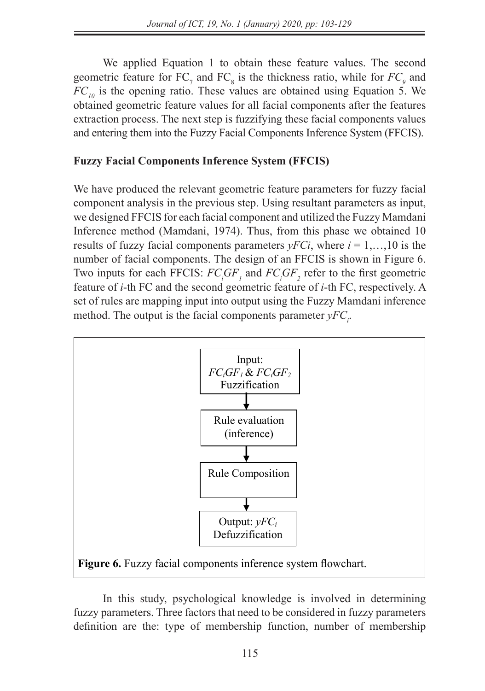We applied Equation 1 to obtain these feature values. The second geometric feature for  $FC_7$  and  $FC_8$  is the thickness ratio, while for  $FC_9$  and  $FC<sub>10</sub>$  is the opening ratio. These values are obtained using Equation 5. We obtained geometric feature values for all facial components after the features extraction process. The next step is fuzzifying these facial components values and entering them into the Fuzzy Facial Components Inference System (FFCIS).

### **Fuzzy Facial Components Inference System (FFCIS)**

We have produced the relevant geometric feature parameters for fuzzy facial component analysis in the previous step. Using resultant parameters as input, we designed FFCIS for each facial component and utilized the Fuzzy Mamdani Inference method (Mamdani, 1974). Thus, from this phase we obtained 10 results of fuzzy facial components parameters  $yFCi$ , where  $i = 1,...,10$  is the number of facial components. The design of an FFCIS is shown in Figure 6. Two inputs for each FFCIS:  $FC_iGF_i$  and  $FC_iGF_2$  refer to the first geometric feature of *i*-th FC and the second geometric feature of *i*-th FC, respectively. A set of rules are mapping input into output using the Fuzzy Mamdani inference method. The output is the facial components parameter  $yFC_i$ .



In this study, psychological knowledge is involved in determining fuzzy parameters. Three factors that need to be considered in fuzzy parameters definition are the: type of membership function, number of membership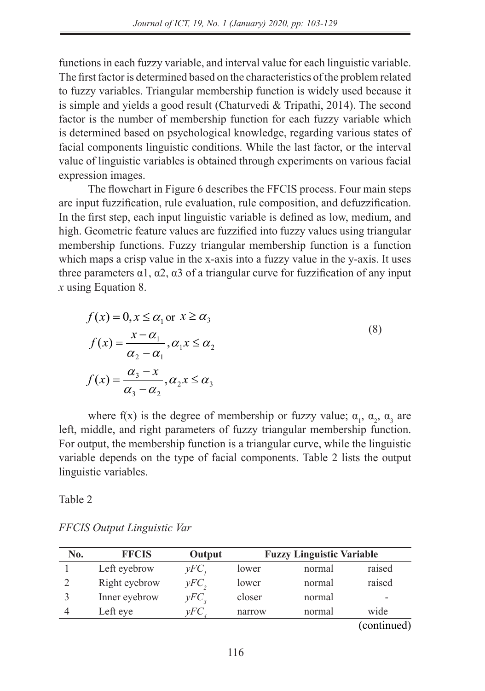number of membership functions in each fuzzy variable, and interval value for each linguistic

functions in each fuzzy variable, and interval value for each linguistic variable. The first factor is determined based on the characteristics of the problem related to fuzzy variables. Triangular membership function is widely used because it to fuzzy variables. Triangular includership function is where used because it is simple and yields a good result (Chaturvedi & Tripathi, 2014). The second factor is the number of membership function for each fuzzy variable which is determined based on psychological knowledge, regarding various states of facial components linguistic conditions. While the last factor, or the interval value of linguistic variables is obtained through experiments on various facial expression images.

The flowchart in Figure 6 describes the FFCIS process. Four main steps The flowchart in Figure 6 describes the FFCIS process. Four main steps are input fuzzification, rule evaluation, rule composition, and defuzzification. In the first step, each input linguistic variable is defined as low, medium, and high. Geometric feature values are fuzzified into fuzzy values using triangular membership functions. Fuzzy triangular membership function is a function which maps a crisp value in the x-axis into a fuzzy value in the y-axis. It uses three parameters  $α1$ ,  $α2$ ,  $α3$  of a triangular curve for fuzzification of any input *x* using Equation 8. triangular curve for fuzzification of any input *x* using Equation (8).

$$
f(x) = 0, x \le \alpha_1 \text{ or } x \ge \alpha_3
$$
  

$$
f(x) = \frac{x - \alpha_1}{\alpha_2 - \alpha_1}, \alpha_1 x \le \alpha_2
$$
  

$$
f(x) = \frac{\alpha_3 - x}{\alpha_3 - \alpha_2}, \alpha_2 x \le \alpha_3
$$
  
(8)

where f(x) is the degree of membership or fuzzy value;  $\alpha_1$ ,  $\alpha_2$ ,  $\alpha_3$  are left, middle, and right parameters of fuzzy triangular membership function. For output, the membership function is a triangular curve, while the linguistic variable depends on the type of facial components. Table 2 lists the output linguistic variables.  $\frac{1}{2}$  is the degree of membership or fuzzy value;  $\frac{1}{2}$  are left, middle, and right parameters parameters parameters  $\frac{1}{2}$ 

Table 2

| No. | <b>FFCIS</b>  | Output  |        | <b>Fuzzy Linguistic Variable</b> |             |
|-----|---------------|---------|--------|----------------------------------|-------------|
|     | Left eyebrow  | $yFC$ , | lower  | normal                           | raised      |
|     | Right eyebrow | $yFC$ , | lower  | normal                           | raised      |
|     | Inner eyebrow | $yFC$ , | closer | normal                           |             |
|     | Left eye      | vFC     | narrow | normal                           | wide        |
|     |               |         |        |                                  | (continued) |

*FFCIS Output Linguistic Var*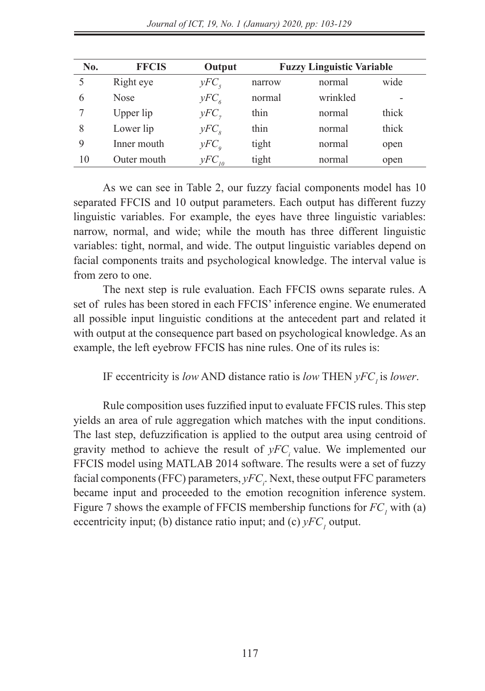| No. | <b>FFCIS</b> | Output           | <b>Fuzzy Linguistic Variable</b> |          |       |  |  |  |  |  |
|-----|--------------|------------------|----------------------------------|----------|-------|--|--|--|--|--|
|     | Right eye    | $yFC_s$          | narrow                           | normal   | wide  |  |  |  |  |  |
| 6   | <b>Nose</b>  | $yFC_{\epsilon}$ | normal                           | wrinkled | -     |  |  |  |  |  |
|     | Upper lip    | $yFC$ ,          | thin                             | normal   | thick |  |  |  |  |  |
| 8   | Lower lip    | $yFC_s$          | thin                             | normal   | thick |  |  |  |  |  |
| 9   | Inner mouth  | $yFC_a$          | tight                            | normal   | open  |  |  |  |  |  |
| 10  | Outer mouth  | $yFC_{10}$       | tight                            | normal   | open  |  |  |  |  |  |

As we can see in Table 2, our fuzzy facial components model has 10 separated FFCIS and 10 output parameters. Each output has different fuzzy linguistic variables. For example, the eyes have three linguistic variables: narrow, normal, and wide; while the mouth has three different linguistic variables: tight, normal, and wide. The output linguistic variables depend on facial components traits and psychological knowledge. The interval value is from zero to one.

The next step is rule evaluation. Each FFCIS owns separate rules. A set of rules has been stored in each FFCIS' inference engine. We enumerated all possible input linguistic conditions at the antecedent part and related it with output at the consequence part based on psychological knowledge. As an example, the left eyebrow FFCIS has nine rules. One of its rules is:

IF eccentricity is *low* AND distance ratio is *low* THEN *yFC*, is *lower*.

Rule composition uses fuzzified input to evaluate FFCIS rules. This step yields an area of rule aggregation which matches with the input conditions. The last step, defuzzification is applied to the output area using centroid of gravity method to achieve the result of  $yFC$  value. We implemented our FFCIS model using MATLAB 2014 software. The results were a set of fuzzy facial components (FFC) parameters,  $yFC_i$ . Next, these output FFC parameters became input and proceeded to the emotion recognition inference system. Figure 7 shows the example of FFCIS membership functions for  $FC<sub>1</sub>$  with (a) eccentricity input; (b) distance ratio input; and (c)  $yFC<sub>1</sub>$  output.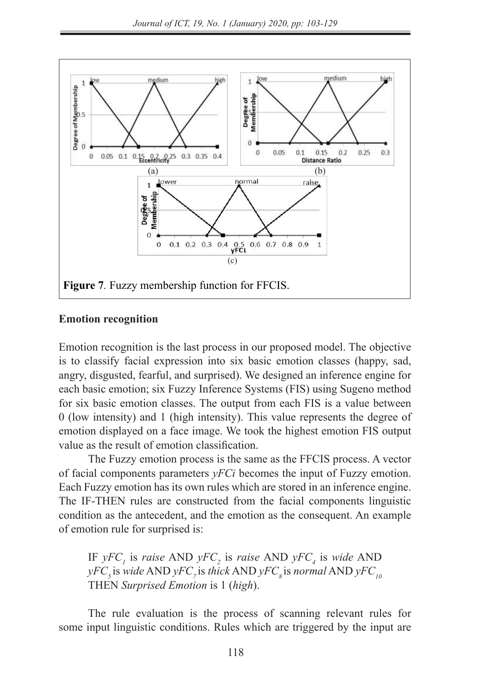

#### **Emotion recognition Emotion recognition** Emotion recognition is the last process in our proposed model. The objective is to classify facial

Emotion recognition is the last process in our proposed model. The objective ence and inference engine for the function of the proposed media. The experiments is to classify facial expression into six basic emotion classes (happy, sad, angry, disgusted, fearful, and surprised). We designed an inference engine for each basic emotion; six Fuzzy Inference Systems (FIS) using Sugeno method for six basic emotion classes. The output from each FIS is a value between 0 (low intensity) and 1 (high intensity). This value represents the degree of emotion displayed on a face image. We took the highest emotion FIS output value as the result of emotion classification.

The Fuzzy emotion process is the same as the FFCIS process. A vector of facial components parameters  $yFCi$  becomes the input of Fuzzy emotion. Each Fuzzy emotion has its own rules which are stored in an inference engine. The IF-THEN rules are constructed from the facial components linguistic condition as the antecedent, and the emotion as the consequent. An example of emotion rule for surprised is:

IF  $yFC_i$  is *raise* AND  $yFC_j$  is *raise* AND  $yFC_4$  is *wide* AND  $\gamma F C_5$  is *wide* AND  $\gamma F C_7$  is *thick* AND  $\gamma F C_8$  is *normal* AND  $\gamma F C_{10}$ THEN *Surprised Emotion* is 1 (*high*).

The rule evaluation is the process of scanning relevant rules for some input linguistic conditions. Rules which are triggered by the input are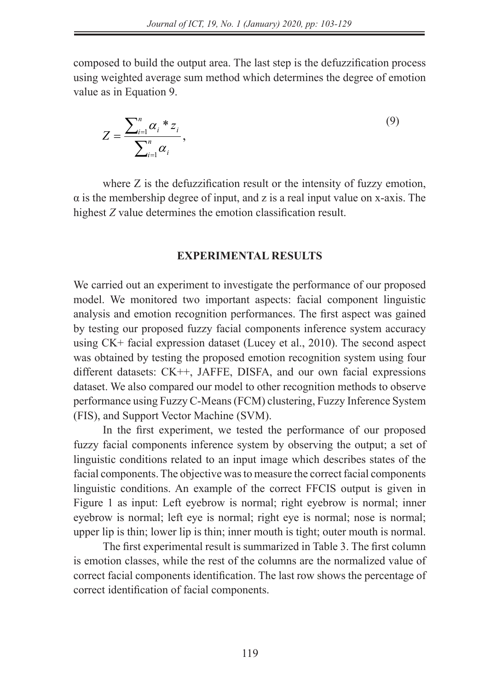composed to build the output area. The last step is the defuzzification process using weighted average sum method which determines the degree of emotion value as in Equation 9.

$$
Z = \frac{\sum_{i=1}^{n} \alpha_i * z_i}{\sum_{i=1}^{n} \alpha_i},
$$
\n(9)

where Z is the defuzzification result or the intensity of fuzzy emotion,  $\alpha$  is the membership degree of input, and z is a real input value on x-axis. The highest *Z* value determines the emotion classification result. where  $Z$  is the defuzion result or the intensity of fuzzy emotion,  $\alpha$  is the membership degree of  $\alpha$ 

#### **EXPERIMENTAL RESULTS**

We carried out an experiment to investigate the performance of our proposed model. We monitored two important aspects: facial component linguistic analysis and emotion recognition performances. The first aspect was gained by testing our proposed fuzzy facial components inference system accuracy using  $CK+$  facial expression dataset (Lucey et al., 2010). The second aspect was obtained by testing the proposed emotion recognition system using four different datasets: CK++, JAFFE, DISFA, and our own facial expressions dataset. We also compared our model to other recognition methods to observe performance using Fuzzy C-Means (FCM) clustering, Fuzzy Inference System (FIS), and Support Vector Machine (SVM). we carried out an experiment to investigate the performance of our

In the first experiment, we tested the performance of our proposed fuzzy facial components inference system by observing the output; a set of linguistic conditions related to an input image which describes states of the facial components. The objective was to measure the correct facial components linguistic conditions. An example of the correct FFCIS output is given in Figure 1 as input: Left eyebrow is normal; right eyebrow is normal; inner eyebrow is normal; left eye is normal; right eye is normal; nose is normal; upper lip is thin; lower lip is thin; inner mouth is tight; outer mouth is normal;

The first experimental result is summarized in Table 3. The first column is emotion classes, while the rest of the columns are the normalized value of correct facial components identification. The last row shows the percentage of correct identification of facial components.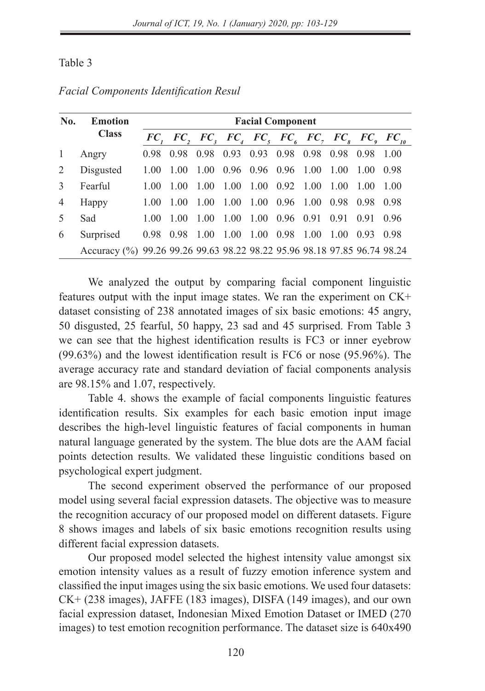### Table 3

| No.            | Emotion                                                                  | <b>Facial Component</b> |      |      |                                                      |           |                              |      |      |        |        |
|----------------|--------------------------------------------------------------------------|-------------------------|------|------|------------------------------------------------------|-----------|------------------------------|------|------|--------|--------|
|                | <b>Class</b>                                                             |                         |      |      | $FC, FC, FC, FC, FC, FC, FC, FC, FC, FC, FC, FC, FC$ |           |                              |      |      |        |        |
| -1             | Angry                                                                    | 0.98                    | 0.98 | 0.98 | 0.93                                                 |           | 0.93 0.98 0.98               |      | 0.98 | 0.98   | 1.00   |
| 2              | Disgusted                                                                | 1.00                    | 1.00 | 1.00 | 0.96 0.96 0.96 1.00                                  |           |                              |      | 1.00 | - 1.00 | - 0.98 |
| $\mathcal{F}$  | Fearful                                                                  | 1(00)                   | 1.00 | 1.00 | 1.00                                                 |           | $1.00 \quad 0.92 \quad 1.00$ |      | 1.00 | 1.00   | 1 00   |
| $\overline{4}$ | Happy                                                                    | 1(00)                   | 1.00 | 1.00 | 1.00                                                 |           | 1.00 0.96 1.00               |      | 0.98 | 0.98   | 0.98   |
| $\sim$         | Sad                                                                      | 1(00)                   | 1.00 | 1.00 | 1.00                                                 |           | 1.00 0.96 0.91               |      | 0.91 | 0.91   | 0.96   |
| 6              | Surprised                                                                | 0.98                    | 0.98 | 1.00 | 1.00                                                 | 1.00 0.98 |                              | 1.00 | 1.00 | 0.93   | 0.98   |
|                | Accuracy (%) 99.26 99.26 99.63 98.22 98.22 95.96 98.18 97.85 96.74 98.24 |                         |      |      |                                                      |           |                              |      |      |        |        |

*Facial Components Identification Resul*

We analyzed the output by comparing facial component linguistic features output with the input image states. We ran the experiment on CK+ dataset consisting of 238 annotated images of six basic emotions: 45 angry, 50 disgusted, 25 fearful, 50 happy, 23 sad and 45 surprised. From Table 3 we can see that the highest identification results is FC3 or inner eyebrow (99.63%) and the lowest identification result is FC6 or nose (95.96%). The average accuracy rate and standard deviation of facial components analysis are 98.15% and 1.07, respectively.

Table 4. shows the example of facial components linguistic features identification results. Six examples for each basic emotion input image describes the high-level linguistic features of facial components in human natural language generated by the system. The blue dots are the AAM facial points detection results. We validated these linguistic conditions based on psychological expert judgment.

The second experiment observed the performance of our proposed model using several facial expression datasets. The objective was to measure the recognition accuracy of our proposed model on different datasets. Figure 8 shows images and labels of six basic emotions recognition results using different facial expression datasets.

Our proposed model selected the highest intensity value amongst six emotion intensity values as a result of fuzzy emotion inference system and classified the input images using the six basic emotions. We used four datasets: CK+ (238 images), JAFFE (183 images), DISFA (149 images), and our own facial expression dataset, Indonesian Mixed Emotion Dataset or IMED (270 images) to test emotion recognition performance. The dataset size is 640x490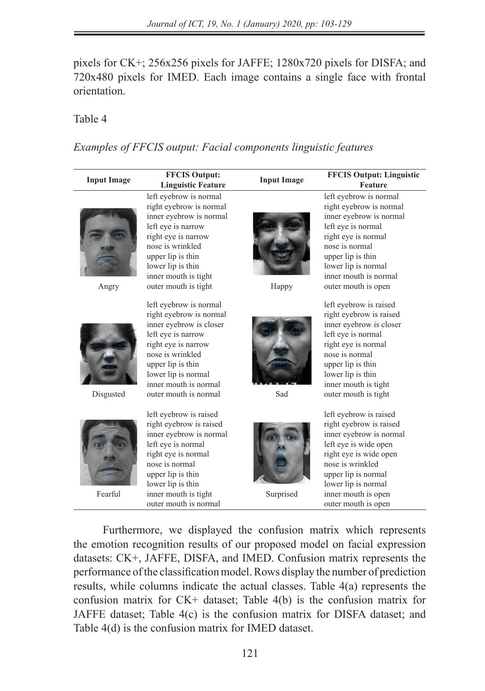pixels for CK+; 256x256 pixels for JAFFE; 1280x720 pixels for DISFA; and 720x480 pixels for IMED. Each image contains a single face with frontal orientation.

## Table 4 Table 4

*Examples of FFCIS output: Facial components linguistic features* Table 4 Examples of FFCIS output: Facial components linguistic features

| <b>Input Image</b> | <b>FFCIS Output:</b><br><b>Linguistic Feature</b>                                                                                                                                                                                           | <b>Input Image</b> | <b>FFCIS Output: Linguistic</b><br>Feature                                                                                                                                                                                                      |
|--------------------|---------------------------------------------------------------------------------------------------------------------------------------------------------------------------------------------------------------------------------------------|--------------------|-------------------------------------------------------------------------------------------------------------------------------------------------------------------------------------------------------------------------------------------------|
| Angry              | left evebrow is normal<br>right eyebrow is normal<br>inner evebrow is normal<br>left eye is narrow<br>right eye is narrow<br>nose is wrinkled<br>upper lip is thin<br>lower lip is thin<br>inner mouth is tight<br>outer mouth is tight     | Happy              | left evebrow is normal<br>right eyebrow is normal<br>inner eyebrow is normal<br>left eye is normal<br>right eye is normal<br>nose is normal<br>upper lip is thin<br>lower lip is normal<br>inner mouth is normal<br>outer mouth is open         |
| Disgusted          | left eyebrow is normal<br>right eyebrow is normal<br>inner eyebrow is closer<br>left eye is narrow<br>right eye is narrow<br>nose is wrinkled<br>upper lip is thin<br>lower lip is normal<br>inner mouth is normal<br>outer mouth is normal | Sad                | left eyebrow is raised<br>right eyebrow is raised<br>inner eyebrow is closer<br>left eye is normal<br>right eye is normal<br>nose is normal<br>upper lip is thin<br>lower lip is thin<br>inner mouth is tight<br>outer mouth is tight           |
| Fearful            | left eyebrow is raised<br>right eyebrow is raised<br>inner eyebrow is normal<br>left eye is normal<br>right eye is normal<br>nose is normal<br>upper lip is thin<br>lower lip is thin<br>inner mouth is tight<br>outer mouth is normal      | Surprised          | left eyebrow is raised<br>right eyebrow is raised<br>inner eyebrow is normal<br>left eye is wide open<br>right eye is wide open<br>nose is wrinkled<br>upper lip is normal<br>lower lip is normal<br>inner mouth is open<br>outer mouth is open |

Furthermore, we displayed the confusion matrix which represents the emotion recognition results of our proposed model on facial expression datasets: CK+, JAFFE, DISFA, and IMED. Confusion matrix represents the performance of the classification model. Rows display the number of prediction results, while columns indicate the actual classes. Table 4(a) represents the confusion matrix for CK+ dataset; Table 4(b) is the confusion matrix for JAFFE dataset; Table 4(c) is the confusion matrix for DISFA dataset; and Table 4(d) is the confusion matrix for IMED dataset.

The second experiment observed the performance of our proposed model using several facial facial facial facial facial facial facial facial facial facial facial facial facial facial facial facial facial facial facial facia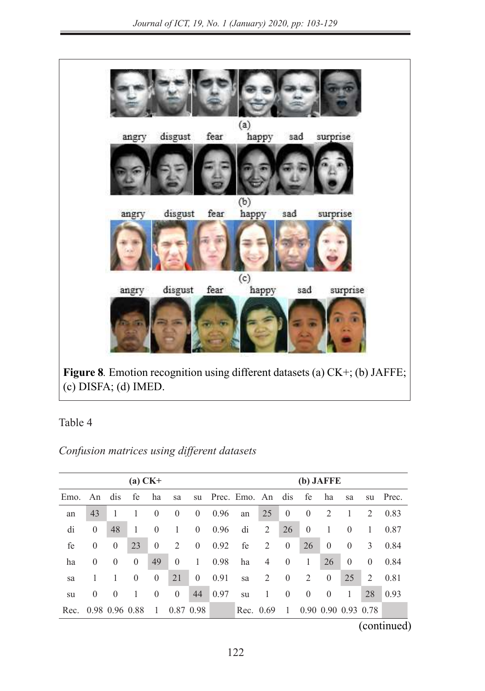

**Figure 8**. Emotion recognition using different datasets (a) CK+; (b) JAFFE; (c) DISFA; (d) IMED.

Table 4  $I \ddot{a}$ ULC 4

*Confusion matrices using different datasets* 

|         |                       |                | $(a)$ CK+      |                |                |                |               | $(b)$ JAFFE          |         |                |                     |                |                |          |                |
|---------|-----------------------|----------------|----------------|----------------|----------------|----------------|---------------|----------------------|---------|----------------|---------------------|----------------|----------------|----------|----------------|
| Emo. An |                       | dis            | fe             | ha             | sa             |                |               | su Prec. Emo. An dis |         |                | fe                  | ha             | sa             |          | su Prec.       |
| an      | 43                    |                |                | 0              | $\theta$       | $\overline{0}$ | 0.96          | an                   | 25      | $\theta$       | $\overline{0}$      | 2              |                | 2        | 0.83           |
| di      | $\mathbf{0}$          | 48             |                | $\theta$       | 1              | $\overline{0}$ | 0.96          | di                   | 2       | 26             | $\overline{0}$      |                | $\theta$       |          | 0.87           |
| fe      | $\overline{0}$        | $\overline{0}$ | 23             | $\overline{0}$ | 2              | $\overline{0}$ | 0.92          | fe                   | 2       | $\overline{0}$ | 26                  | $\overline{0}$ | $\overline{0}$ | 3        | 0.84           |
| ha      | $\overline{0}$        | $\overline{0}$ | $\overline{0}$ | 49             | $\overline{0}$ | -1             | 0.98          | ha                   | 4       | $\overline{0}$ |                     | 26             | $\overline{0}$ | $\theta$ | 0.84           |
| sa      |                       |                | $\theta$       | $\overline{0}$ | 21             | $\overline{0}$ | 0.91          | sa                   | 2       | $\overline{0}$ | 2                   | $\overline{0}$ | 25             | 2        | 0.81           |
| su      | $\overline{0}$        | $\theta$       |                | $\overline{0}$ | $\overline{0}$ | 44             | $\sqrt{0.97}$ | su                   | $\perp$ | $\overline{0}$ | $\overline{0}$      | $\theta$       | -1             | 28       | $ 0.93\rangle$ |
|         | Rec. 0.98 0.96 0.88 1 |                |                |                | 0.87 0.98      |                |               | Rec. 0.69            |         | -1             | 0.90 0.90 0.93 0.78 |                |                |          |                |

 $_{\rm (continued)}$ (continued)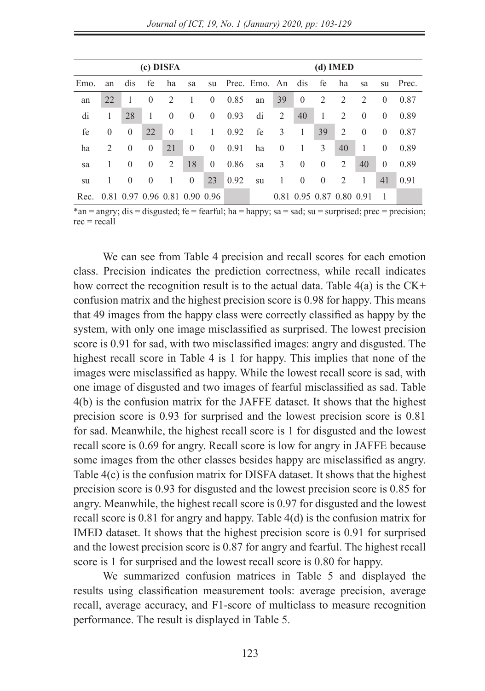|      |                |          | (c) DISFA |          |                               |                |      |                      |          |              |                          | $(d)$ IMED     |          |                |       |
|------|----------------|----------|-----------|----------|-------------------------------|----------------|------|----------------------|----------|--------------|--------------------------|----------------|----------|----------------|-------|
| Emo. | an             | dis      | fe        | ha       | sa                            |                |      | su Prec. Emo. An dis |          |              | fe                       | ha             | sa       | su             | Prec. |
| an   | 22             | 1        | $\Omega$  | 2        | 1                             | $\overline{0}$ | 0.85 | an                   | 39       | $\theta$     | 2                        | 2              | 2        | $\theta$       | 0.87  |
| di   | 1              | 28       | 1         | $\theta$ | $\theta$                      | $\overline{0}$ | 0.93 | di                   | 2        | 40           | 1                        | 2              | $\theta$ | $\overline{0}$ | 0.89  |
| fe   | $\overline{0}$ | $\theta$ | 22        | $\theta$ | 1                             | 1              | 0.92 | fe                   | 3        | 1            | 39                       | 2              | $\theta$ | $\theta$       | 0.87  |
| ha   | 2              | $\theta$ | $\theta$  | 21       | $\theta$                      | $\overline{0}$ | 0.91 | ha                   | $\theta$ | 1            | 3                        | 40             | 1        | $\Omega$       | 0.89  |
| sa   | 1              | $\theta$ | $\theta$  | 2        | 18                            | $\mathbf{0}$   | 0.86 | sa                   | 3        | $\mathbf{0}$ | $\mathbf{0}$             | 2              | 40       | $\theta$       | 0.89  |
| su   |                | $\Omega$ | $\Omega$  | 1        | $\Omega$                      | 23             | 0.92 | su                   | 1        | $\theta$     | $\mathbf{0}$             | $\overline{2}$ | 1        | 41             | 0.91  |
| Rec. |                |          |           |          | 0.81 0.97 0.96 0.81 0.90 0.96 |                |      |                      |          |              | 0.81 0.95 0.87 0.80 0.91 |                |          | -1             |       |

\*an = angry; dis = disgusted; fe = fearful; ha = happy; sa = sad; su = surprised; prec = precision;  $rec = recall$ 

We can see from Table 4 precision and recall scores for each emotion class. Precision indicates the prediction correctness, while recall indicates how correct the recognition result is to the actual data. Table  $4(a)$  is the CK+ confusion matrix and the highest precision score is 0.98 for happy. This means that 49 images from the happy class were correctly classified as happy by the system, with only one image misclassified as surprised. The lowest precision score is 0.91 for sad, with two misclassified images: angry and disgusted. The highest recall score in Table 4 is 1 for happy. This implies that none of the images were misclassified as happy. While the lowest recall score is sad, with one image of disgusted and two images of fearful misclassified as sad. Table 4(b) is the confusion matrix for the JAFFE dataset. It shows that the highest precision score is 0.93 for surprised and the lowest precision score is 0.81 for sad. Meanwhile, the highest recall score is 1 for disgusted and the lowest recall score is 0.69 for angry. Recall score is low for angry in JAFFE because some images from the other classes besides happy are misclassified as angry. Table 4(c) is the confusion matrix for DISFA dataset. It shows that the highest precision score is 0.93 for disgusted and the lowest precision score is 0.85 for angry. Meanwhile, the highest recall score is 0.97 for disgusted and the lowest recall score is 0.81 for angry and happy. Table 4(d) is the confusion matrix for IMED dataset. It shows that the highest precision score is 0.91 for surprised and the lowest precision score is 0.87 for angry and fearful. The highest recall score is 1 for surprised and the lowest recall score is 0.80 for happy.

We summarized confusion matrices in Table 5 and displayed the results using classification measurement tools: average precision, average recall, average accuracy, and F1-score of multiclass to measure recognition performance. The result is displayed in Table 5.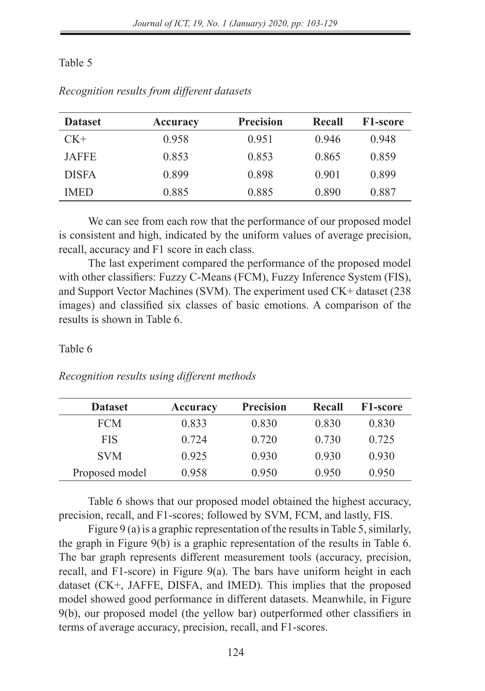### Table 5

| <b>Dataset</b> | Accuracy | <b>Precision</b> | Recall | <b>F1-score</b> |
|----------------|----------|------------------|--------|-----------------|
| $CK+$          | 0.958    | 0.951            | 0.946  | 0.948           |
| <b>JAFFE</b>   | 0.853    | 0.853            | 0.865  | 0.859           |
| <b>DISFA</b>   | 0.899    | 0.898            | 0.901  | 0.899           |
| <b>IMED</b>    | 0.885    | 0.885            | 0.890  | 0.887           |

*Recognition results from different datasets*

We can see from each row that the performance of our proposed model is consistent and high, indicated by the uniform values of average precision, recall, accuracy and F1 score in each class.

The last experiment compared the performance of the proposed model with other classifiers: Fuzzy C-Means (FCM), Fuzzy Inference System (FIS), and Support Vector Machines (SVM). The experiment used CK+ dataset (238 images) and classified six classes of basic emotions. A comparison of the results is shown in Table 6.

#### Table 6

*Recognition results using different methods*

| <b>Dataset</b> | Accuracy | <b>Precision</b> | Recall | <b>F1-score</b> |
|----------------|----------|------------------|--------|-----------------|
| <b>FCM</b>     | 0.833    | 0.830            | 0.830  | 0.830           |
| <b>FIS</b>     | 0.724    | 0.720            | 0.730  | 0.725           |
| <b>SVM</b>     | 0.925    | 0.930            | 0.930  | 0.930           |
| Proposed model | 0.958    | 0.950            | 0.950  | 0.950           |

Table 6 shows that our proposed model obtained the highest accuracy, precision, recall, and F1-scores; followed by SVM, FCM, and lastly, FIS.

Figure 9 (a) is a graphic representation of the results in Table 5, similarly, the graph in Figure 9(b) is a graphic representation of the results in Table 6. The bar graph represents different measurement tools (accuracy, precision, recall, and F1-score) in Figure 9(a). The bars have uniform height in each dataset (CK+, JAFFE, DISFA, and IMED). This implies that the proposed model showed good performance in different datasets. Meanwhile, in Figure 9(b), our proposed model (the yellow bar) outperformed other classifiers in terms of average accuracy, precision, recall, and F1-scores.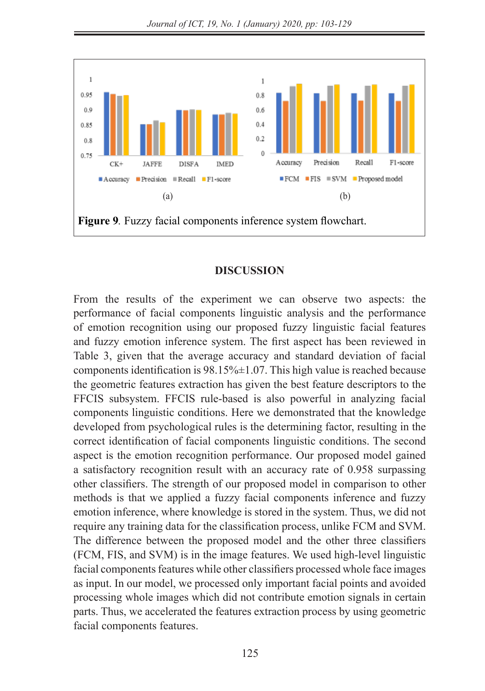*Journal of ICT, 19, No. 1 (January) 2020, pp: 103-129*



#### **DISCUSSION**  $\mathbf{p}_{\text{IDC}}$  copies in  $\mathbf{q}_{\text{IDC}}$

From the results of the experiment we can observe two aspects: the performance of facial components linguistic analysis and the performance of emotion recognition using our proposed fuzzy linguistic facial features and fuzzy emotion inference system. The first aspect has been reviewed in Table 3, given that the average accuracy and standard deviation of facial components identification is  $98.15\% \pm 1.07$ . This high value is reached because the geometric features extraction has given the best feature descriptors to the FFCIS subsystem. FFCIS rule-based is also powerful in analyzing facial components linguistic conditions. Here we demonstrated that the knowledge developed from psychological rules is the determining factor, resulting in the developed nom psychological rates is the determining ractor, restating in the correct identification of facial components linguistic conditions. The second aspect is the emotion recognition performance. Our proposed model gained a satisfactory recognition result with an accuracy rate of 0.958 surpassing other classifiers. The strength of our proposed model in comparison to other methods is that we applied a fuzzy facial components inference and fuzzy emotion inference, where knowledge is stored in the system. Thus, we did not require any training data for the classification process, unlike FCM and SVM. The difference between the proposed model and the other three classifiers (FCM, FIS, and SVM) is in the image features. We used high-level linguistic facial components features while other classifiers processed whole face images as input. In our model, we processed only important facial points and avoided processing whole images which did not contribute emotion signals in certain parts. Thus, we accelerated the features extraction process by using geometric facial components features.<br>The difference between the proposed model and the other three classifiers (FCM, FIS, and SVM) is in the other three classifiers (FCM, FIS, and SVM) is in the other three classifiers (FCM, FIS, a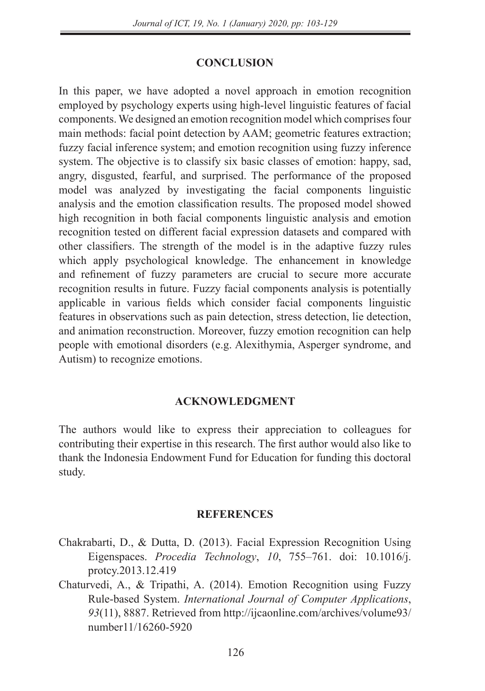### **CONCLUSION**

In this paper, we have adopted a novel approach in emotion recognition employed by psychology experts using high-level linguistic features of facial components. We designed an emotion recognition model which comprises four main methods: facial point detection by AAM; geometric features extraction; fuzzy facial inference system; and emotion recognition using fuzzy inference system. The objective is to classify six basic classes of emotion: happy, sad, angry, disgusted, fearful, and surprised. The performance of the proposed model was analyzed by investigating the facial components linguistic analysis and the emotion classification results. The proposed model showed high recognition in both facial components linguistic analysis and emotion recognition tested on different facial expression datasets and compared with other classifiers. The strength of the model is in the adaptive fuzzy rules which apply psychological knowledge. The enhancement in knowledge and refinement of fuzzy parameters are crucial to secure more accurate recognition results in future. Fuzzy facial components analysis is potentially applicable in various fields which consider facial components linguistic features in observations such as pain detection, stress detection, lie detection, and animation reconstruction. Moreover, fuzzy emotion recognition can help people with emotional disorders (e.g. Alexithymia, Asperger syndrome, and Autism) to recognize emotions.

### **ACKNOWLEDGMENT**

The authors would like to express their appreciation to colleagues for contributing their expertise in this research. The first author would also like to thank the Indonesia Endowment Fund for Education for funding this doctoral study.

#### **REFERENCES**

- Chakrabarti, D., & Dutta, D. (2013). Facial Expression Recognition Using Eigenspaces. *Procedia Technology*, *10*, 755–761. doi: 10.1016/j. protcy.2013.12.419
- Chaturvedi, A., & Tripathi, A. (2014). Emotion Recognition using Fuzzy Rule-based System. *International Journal of Computer Applications*, *93*(11), 8887. Retrieved from http://ijcaonline.com/archives/volume93/ number11/16260-5920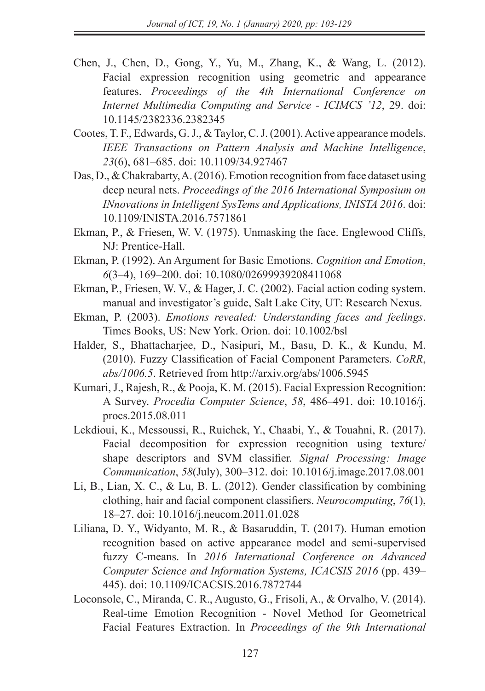- Chen, J., Chen, D., Gong, Y., Yu, M., Zhang, K., & Wang, L. (2012). Facial expression recognition using geometric and appearance features. *Proceedings of the 4th International Conference on Internet Multimedia Computing and Service - ICIMCS '12*, 29. doi: 10.1145/2382336.2382345
- Cootes, T. F., Edwards, G. J., & Taylor, C. J. (2001). Active appearance models. *IEEE Transactions on Pattern Analysis and Machine Intelligence*, *23*(6), 681–685. doi: 10.1109/34.927467
- Das, D., & Chakrabarty, A. (2016). Emotion recognition from face dataset using deep neural nets. *Proceedings of the 2016 International Symposium on INnovations in Intelligent SysTems and Applications, INISTA 2016*. doi: 10.1109/INISTA.2016.7571861
- Ekman, P., & Friesen, W. V. (1975). Unmasking the face. Englewood Cliffs, NJ: Prentice-Hall.
- Ekman, P. (1992). An Argument for Basic Emotions. *Cognition and Emotion*, *6*(3–4), 169–200. doi: 10.1080/02699939208411068
- Ekman, P., Friesen, W. V., & Hager, J. C. (2002). Facial action coding system. manual and investigator's guide, Salt Lake City, UT: Research Nexus.
- Ekman, P. (2003). *Emotions revealed: Understanding faces and feelings*. Times Books, US: New York. Orion. doi: 10.1002/bsl
- Halder, S., Bhattacharjee, D., Nasipuri, M., Basu, D. K., & Kundu, M. (2010). Fuzzy Classification of Facial Component Parameters. *CoRR*, *abs/1006.5*. Retrieved from http://arxiv.org/abs/1006.5945
- Kumari, J., Rajesh, R., & Pooja, K. M. (2015). Facial Expression Recognition: A Survey. *Procedia Computer Science*, *58*, 486–491. doi: 10.1016/j. procs.2015.08.011
- Lekdioui, K., Messoussi, R., Ruichek, Y., Chaabi, Y., & Touahni, R. (2017). Facial decomposition for expression recognition using texture/ shape descriptors and SVM classifier. *Signal Processing: Image Communication*, *58*(July), 300–312. doi: 10.1016/j.image.2017.08.001
- Li, B., Lian, X. C., & Lu, B. L. (2012). Gender classification by combining clothing, hair and facial component classifiers. *Neurocomputing*, *76*(1), 18–27. doi: 10.1016/j.neucom.2011.01.028
- Liliana, D. Y., Widyanto, M. R., & Basaruddin, T. (2017). Human emotion recognition based on active appearance model and semi-supervised fuzzy C-means. In *2016 International Conference on Advanced Computer Science and Information Systems, ICACSIS 2016* (pp. 439– 445). doi: 10.1109/ICACSIS.2016.7872744
- Loconsole, C., Miranda, C. R., Augusto, G., Frisoli, A., & Orvalho, V. (2014). Real-time Emotion Recognition - Novel Method for Geometrical Facial Features Extraction. In *Proceedings of the 9th International*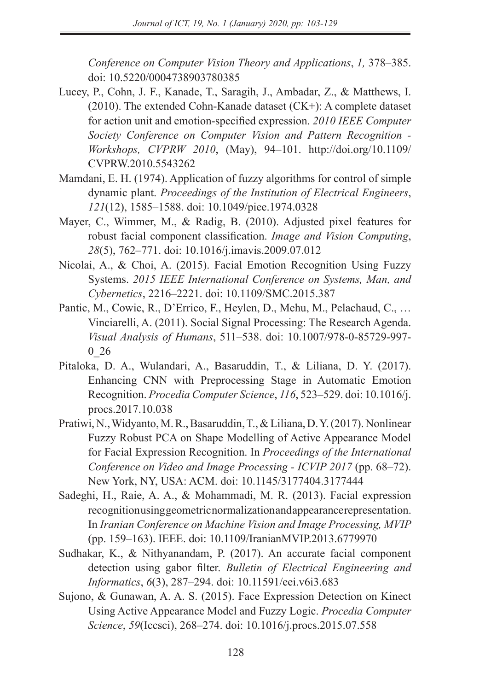*Conference on Computer Vision Theory and Applications*, *1,* 378–385. doi: 10.5220/0004738903780385

- Lucey, P., Cohn, J. F., Kanade, T., Saragih, J., Ambadar, Z., & Matthews, I. (2010). The extended Cohn-Kanade dataset (CK+): A complete dataset for action unit and emotion-specified expression. *2010 IEEE Computer Society Conference on Computer Vision and Pattern Recognition - Workshops, CVPRW 2010*, (May), 94–101. http://doi.org/10.1109/ CVPRW.2010.5543262
- Mamdani, E. H. (1974). Application of fuzzy algorithms for control of simple dynamic plant. *Proceedings of the Institution of Electrical Engineers*, *121*(12), 1585–1588. doi: 10.1049/piee.1974.0328
- Mayer, C., Wimmer, M., & Radig, B. (2010). Adjusted pixel features for robust facial component classification. *Image and Vision Computing*, *28*(5), 762–771. doi: 10.1016/j.imavis.2009.07.012
- Nicolai, A., & Choi, A. (2015). Facial Emotion Recognition Using Fuzzy Systems. *2015 IEEE International Conference on Systems, Man, and Cybernetics*, 2216–2221. doi: 10.1109/SMC.2015.387
- Pantic, M., Cowie, R., D'Errico, F., Heylen, D., Mehu, M., Pelachaud, C., … Vinciarelli, A. (2011). Social Signal Processing: The Research Agenda. *Visual Analysis of Humans*, 511–538. doi: 10.1007/978-0-85729-997- 0\_26
- Pitaloka, D. A., Wulandari, A., Basaruddin, T., & Liliana, D. Y. (2017). Enhancing CNN with Preprocessing Stage in Automatic Emotion Recognition. *Procedia Computer Science*, *116*, 523–529. doi: 10.1016/j. procs.2017.10.038
- Pratiwi, N., Widyanto, M. R., Basaruddin, T., & Liliana, D. Y. (2017). Nonlinear Fuzzy Robust PCA on Shape Modelling of Active Appearance Model for Facial Expression Recognition. In *Proceedings of the International Conference on Video and Image Processing - ICVIP 2017* (pp. 68–72). New York, NY, USA: ACM. doi: 10.1145/3177404.3177444
- Sadeghi, H., Raie, A. A., & Mohammadi, M. R. (2013). Facial expression recognition using geometric normalization and appearance representation. In *Iranian Conference on Machine Vision and Image Processing, MVIP* (pp. 159–163). IEEE. doi: 10.1109/IranianMVIP.2013.6779970
- Sudhakar, K., & Nithyanandam, P. (2017). An accurate facial component detection using gabor filter. *Bulletin of Electrical Engineering and Informatics*, *6*(3), 287–294. doi: 10.11591/eei.v6i3.683
- Sujono, & Gunawan, A. A. S. (2015). Face Expression Detection on Kinect Using Active Appearance Model and Fuzzy Logic. *Procedia Computer Science*, *59*(Iccsci), 268–274. doi: 10.1016/j.procs.2015.07.558